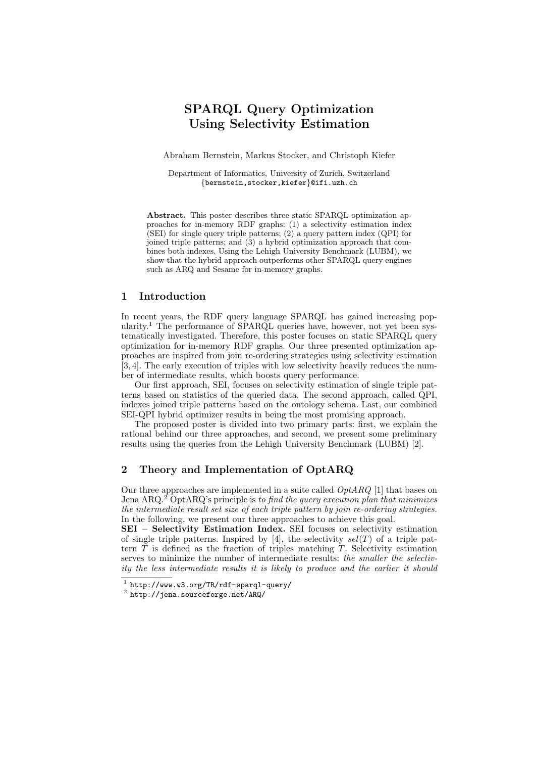# SPARQL Query Optimization Using Selectivity Estimation

Abraham Bernstein, Markus Stocker, and Christoph Kiefer

Department of Informatics, University of Zurich, Switzerland {bernstein,stocker,kiefer}@ifi.uzh.ch

Abstract. This poster describes three static SPARQL optimization approaches for in-memory RDF graphs: (1) a selectivity estimation index (SEI) for single query triple patterns;  $(2)$  a query pattern index (QPI) for joined triple patterns; and (3) a hybrid optimization approach that combines both indexes. Using the Lehigh University Benchmark (LUBM), we show that the hybrid approach outperforms other SPARQL query engines such as ARQ and Sesame for in-memory graphs.

## 1 Introduction

In recent years, the RDF query language SPARQL has gained increasing popularity.<sup>1</sup> The performance of SPARQL queries have, however, not yet been systematically investigated. Therefore, this poster focuses on static SPARQL query optimization for in-memory RDF graphs. Our three presented optimization approaches are inspired from join re-ordering strategies using selectivity estimation [3, 4]. The early execution of triples with low selectivity heavily reduces the number of intermediate results, which boosts query performance.

Our first approach, SEI, focuses on selectivity estimation of single triple patterns based on statistics of the queried data. The second approach, called QPI, indexes joined triple patterns based on the ontology schema. Last, our combined SEI-QPI hybrid optimizer results in being the most promising approach.

The proposed poster is divided into two primary parts: first, we explain the rational behind our three approaches, and second, we present some preliminary results using the queries from the Lehigh University Benchmark (LUBM) [2].

# 2 Theory and Implementation of OptARQ

Our three approaches are implemented in a suite called  $OptARQ$  [1] that bases on Jena ARQ.<sup>2</sup> OptARQ's principle is to find the query execution plan that minimizes the intermediate result set size of each triple pattern by join re-ordering strategies. In the following, we present our three approaches to achieve this goal.

SEI – Selectivity Estimation Index. SEI focuses on selectivity estimation of single triple patterns. Inspired by [4], the selectivity  $sel(T)$  of a triple pattern  $T$  is defined as the fraction of triples matching  $T$ . Selectivity estimation serves to minimize the number of intermediate results: the smaller the selectivity the less intermediate results it is likely to produce and the earlier it should

<sup>1</sup> http://www.w3.org/TR/rdf-sparql-query/

<sup>2</sup> http://jena.sourceforge.net/ARQ/